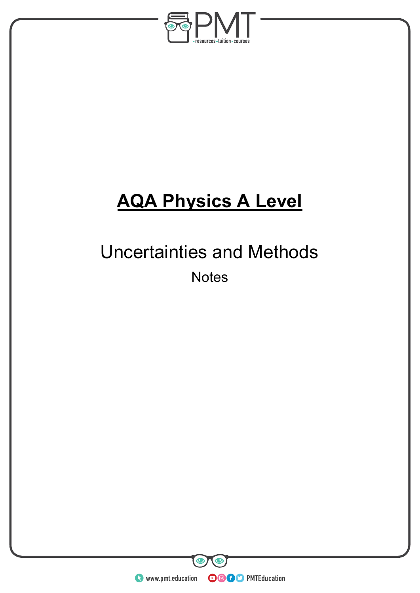

# **AQA Physics A Level**

## Uncertainties and Methods **Notes**

**WWW.pmt.education** 

 $\bullet$ 

 $\bullet$ 

**OOOO** PMTEducation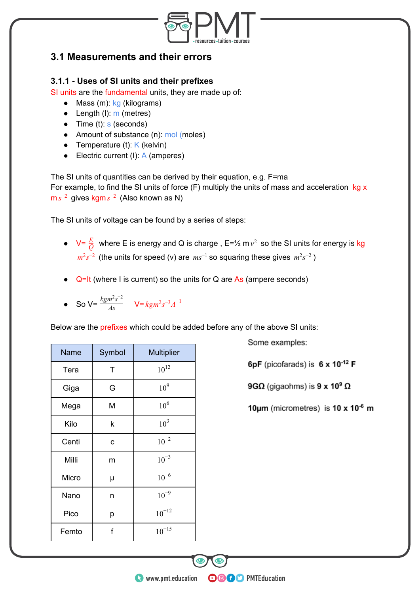

### **3.1 Measurements and their errors**

#### **3.1.1 - Uses of SI units and their prefixes**

SI units are the fundamental units, they are made up of:

- $\bullet$  Mass (m): kg (kilograms)
- $\bullet$  Length (I):  $m$  (metres)
- $\bullet$  Time (t): s (seconds)
- Amount of substance (n): mol (moles)
- Temperature (t):  $K$  (kelvin)
- Electric current (I):  $A$  (amperes)

The SI units of quantities can be derived by their equation, e.g. F=ma

For example, to find the SI units of force  $(F)$  multiply the units of mass and acceleration  $kg \times$  $\text{m} \text{ } s^{-2}$  gives kgm s<sup>-2</sup> (Also known as N)

The SI units of voltage can be found by a series of steps:

- $V = \frac{E}{Q}$  where E is energy and Q is charge,  $E = \frac{1}{2} m v^2$  so the SI units for energy is kg  $m^2 s^{-2}$  (the units for speed (v) are  $ms^{-1}$  so squaring these gives  $m^2 s^{-2}$  *sm*<sup>2</sup>s<sup>-2</sup> *sm*
- $Q=It$  (where I is current) so the units for Q are As (ampere seconds)
- So  $V = \frac{kgm^2s^{-2}}{As}$   $V = kgm^2s^{-3}A^{-1}$

Below are the prefixes which could be added before any of the above SI units:

| Name  | Symbol | <b>Multiplier</b> |
|-------|--------|-------------------|
| Tera  | Τ      | $10^{12}$         |
| Giga  | G      | 10 <sup>9</sup>   |
| Mega  | M      | 10 <sup>6</sup>   |
| Kilo  | k      | 10 <sup>3</sup>   |
| Centi | C      | $10^{-2}$         |
| Milli | m      | $10^{-3}$         |
| Micro | μ      | $10^{-6}$         |
| Nano  | n      | $10^{-9}$         |
| Pico  | р      | $10^{-12}$        |
| Femto | f      | $10^{-15}$        |

Some examples:

6pF (picofarads) is  $6 \times 10^{-12}$  F

9G $\Omega$  (gigaohms) is 9 x 10<sup>9</sup>  $\Omega$ 

10 $\mu$ m (micrometres) is 10 x 10 $^6$  m

**OOOO** PMTEducation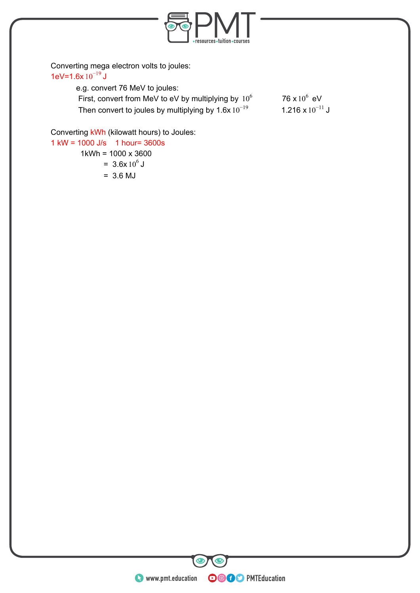

Converting mega electron volts to joules: 1eV=1.6x  $10^{-19}$  J

| e.g. convert 76 MeV to joules:                          |                      |
|---------------------------------------------------------|----------------------|
| First, convert from MeV to eV by multiplying by $10^6$  | 76 x $10^6$ eV       |
| Then convert to joules by multiplying by $1.6x10^{-19}$ | 1.216 x $10^{-11}$ J |

Converting kWh (kilowatt hours) to Joules:

1 kW = 1000 J/s 1 hour= 3600s 1kWh = 1000 x 3600 =  $3.6x 10^6$  J  $= 3.6 MJ$ 

**O** www.pmt.education **COO** PMTEducation

 $\bigcirc$ 

 $\bullet$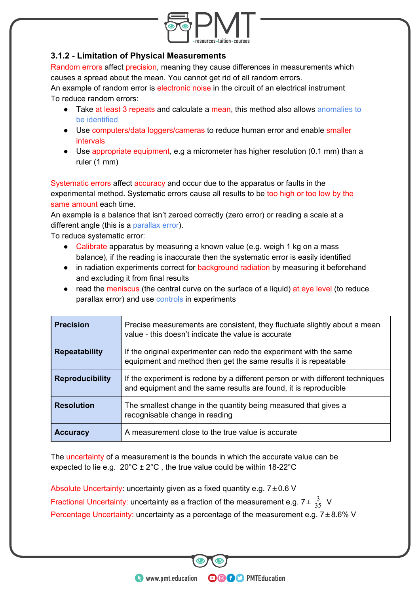

#### **3.1.2 - Limitation of Physical Measurements**

Random errors affect precision, meaning they cause differences in measurements which causes a spread about the mean. You cannot get rid of all random errors.

An example of random error is electronic noise in the circuit of an electrical instrument To reduce random errors:

- Take at least 3 repeats and calculate a mean, this method also allows anomalies to be identified
- Use computers/data loggers/cameras to reduce human error and enable smaller intervals
- Use appropriate equipment, e.g a micrometer has higher resolution (0.1 mm) than a ruler (1 mm)

Systematic errors affect accuracy and occur due to the apparatus or faults in the experimental method. Systematic errors cause all results to be too high or too low by the same amount each time.

An example is a balance that isn't zeroed correctly (zero error) or reading a scale at a different angle (this is a parallax error).

To reduce systematic error:

- Calibrate apparatus by measuring a known value (e.g. weigh 1 kg on a mass balance), if the reading is inaccurate then the systematic error is easily identified
- in radiation experiments correct for background radiation by measuring it beforehand and excluding it from final results
- read the meniscus (the central curve on the surface of a liquid) at eye level (to reduce parallax error) and use controls in experiments

| <b>Precision</b>       | Precise measurements are consistent, they fluctuate slightly about a mean<br>value - this doesn't indicate the value is accurate                   |
|------------------------|----------------------------------------------------------------------------------------------------------------------------------------------------|
| <b>Repeatability</b>   | If the original experimenter can redo the experiment with the same<br>equipment and method then get the same results it is repeatable              |
| <b>Reproducibility</b> | If the experiment is redone by a different person or with different techniques<br>and equipment and the same results are found, it is reproducible |
| <b>Resolution</b>      | The smallest change in the quantity being measured that gives a<br>recognisable change in reading                                                  |
| <b>Accuracy</b>        | A measurement close to the true value is accurate                                                                                                  |

The uncertainty of a measurement is the bounds in which the accurate value can be expected to lie e.g.  $20^{\circ}C \pm 2^{\circ}C$ , the true value could be within 18-22 $^{\circ}C$ 

Absolute Uncertainty: uncertainty given as a fixed quantity e.g.  $7 \pm 0.6$  V Fractional Uncertainty: uncertainty as a fraction of the measurement e.g.  $7 \pm \frac{3}{35}$  V 35 Percentage Uncertainty: uncertainty as a percentage of the measurement e.g.  $7 \pm 8.6\%$  V

**OOOO** PMTEducation

**C** www.pmt.education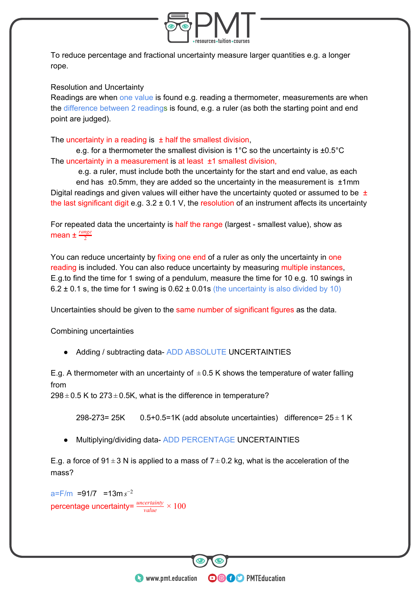

To reduce percentage and fractional uncertainty measure larger quantities e.g. a longer rope.

#### Resolution and Uncertainty

Readings are when one value is found e.g. reading a thermometer, measurements are when the difference between 2 readings is found, e.g. a ruler (as both the starting point and end point are judged).

The uncertainty in a reading is  $\pm$  half the smallest division,

e.g. for a thermometer the smallest division is 1°C so the uncertainty is ±0.5°C The uncertainty in a measurement is at least  $\pm 1$  smallest division,

 e.g. a ruler, must include both the uncertainty for the start and end value, as each end has  $\pm 0.5$ mm, they are added so the uncertainty in the measurement is  $\pm 1$ mm Digital readings and given values will either have the uncertainty quoted or assumed to be  $\pm$ the last significant digit e.g.  $3.2 \pm 0.1$  V, the resolution of an instrument affects its uncertainty

For repeated data the uncertainty is half the range (largest - smallest value), show as mean ±  $\frac{range}{2}$ 

You can reduce uncertainty by fixing one end of a ruler as only the uncertainty in one reading is included. You can also reduce uncertainty by measuring multiple instances, E.g.to find the time for 1 swing of a pendulum, measure the time for 10 e.g. 10 swings in 6.2  $\pm$  0.1 s, the time for 1 swing is 0.62  $\pm$  0.01s (the uncertainty is also divided by 10)

Uncertainties should be given to the same number of significant figures as the data.

Combining uncertainties

● Adding / subtracting data- ADD ABSOLUTE UNCERTAINTIES

E.g. A thermometer with an uncertainty of  $\pm 0.5$  K shows the temperature of water falling from

 $298 \pm 0.5$  K to  $273 \pm 0.5$ K, what is the difference in temperature?

298-273= 25K  $0.5+0.5=1K$  (add absolute uncertainties) difference=  $25\pm 1K$ 

**OOOO** PMTEducation

Multiplying/dividing data- ADD PERCENTAGE UNCERTAINTIES

E.g. a force of 91  $\pm$  3 N is applied to a mass of 7  $\pm$  0.2 kg, what is the acceleration of the mass?

a=F/m =91/7 =13m *s* −2 percentage uncertainty=  $\frac{uncertainty}{value} \times 100$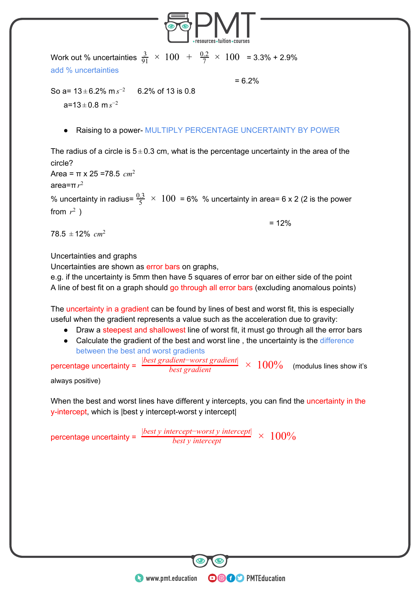

Work out % uncertainties  $\frac{3}{91} \times 100 + \frac{0.2}{7} \times 100 = 3.3\% + 2.9\%$ add % uncertainties

 $= 6.2%$ 

So a=  $13 \pm 6.2\%$  m  $s^{-2}$  6.2% of 13 is 0.8  $a=13 \pm 0.8 \text{ m} s^{-2}$ 

Raising to a power- MULTIPLY PERCENTAGE UNCERTAINTY BY POWER

The radius of a circle is  $5 \pm 0.3$  cm, what is the percentage uncertainty in the area of the circle?

Area = π x 25 =78.5 *cm*<sup>2</sup>

area=π*r* 2

% uncertainty in radius=  $\frac{0.3}{5}$   $\times$  100 = 6% % uncertainty in area= 6 x 2 (2 is the power from  $r^2$ )

 $= 12%$ 

 $78.5 \pm 12\%$  cm<sup>2</sup>

Uncertainties and graphs

Uncertainties are shown as error bars on graphs,

e.g. if the uncertainty is 5mm then have 5 squares of error bar on either side of the point A line of best fit on a graph should go through all error bars (excluding anomalous points)

The uncertainty in a gradient can be found by lines of best and worst fit, this is especially useful when the gradient represents a value such as the acceleration due to gravity:

- Draw a steepest and shallowest line of worst fit, it must go through all the error bars
- Calculate the gradient of the best and worst line, the uncertainty is the difference between the best and worst gradients

percentage uncertainty = 100% (modulus lines show it's *best gradient* <sup>|</sup>*best gradient*−*worst gradient*<sup>|</sup> ×

always positive)

When the best and worst lines have different y intercepts, you can find the uncertainty in the y-intercept, which is |best y intercept-worst y intercept|

**OOOO** PMTEducation

percentage uncertainty = *best <sup>y</sup> intercept* 100% <sup>|</sup>*best <sup>y</sup> intercept*−*worst <sup>y</sup> intercept*<sup>|</sup> ×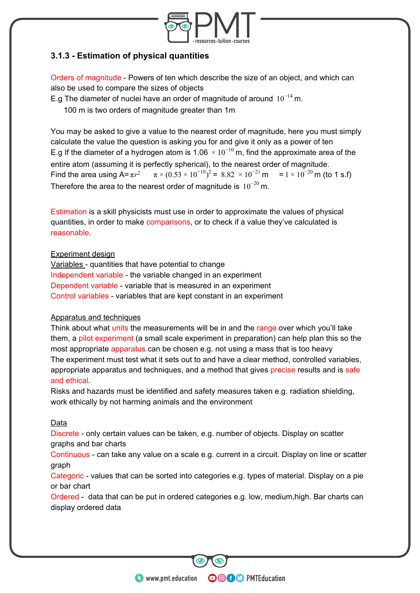

#### **3.1.3 - Estimation of physical quantities**

Orders of magnitude - Powers of ten which describe the size of an object, and which can also be used to compare the sizes of objects

E.g The diameter of nuclei have an order of magnitude of around  $10^{-14}$  m.

100 m is two orders of magnitude greater than 1m

You may be asked to give a value to the nearest order of magnitude, here you must simply calculate the value the question is asking you for and give it only as a power of ten E.g If the diameter of a hydrogen atom is 1.06  $\times$   $10^{-10}$  m, find the approximate area of the entire atom (assuming it is perfectly spherical), to the nearest order of magnitude. Find the area using  $A = \pi r^2$  $\pi \times (0.53 \times 10^{-10})^2 = 8.82 \times 10^{-21} \text{ m} = 1 \times 10^{-20} \text{ m (to 1 s.f)}$ Therefore the area to the nearest order of magnitude is  $10^{-20}$  m.

Estimation is a skill physicists must use in order to approximate the values of physical quantities, in order to make comparisons, or to check if a value they've calculated is reasonable.

#### Experiment design

Variables - quantities that have potential to change Independent variable - the variable changed in an experiment Dependent variable - variable that is measured in an experiment Control variables - variables that are kept constant in an experiment

#### Apparatus and techniques

Think about what units the measurements will be in and the range over which you'll take them, a pilot experiment (a small scale experiment in preparation) can help plan this so the most appropriate apparatus can be chosen e.g. not using a mass that is too heavy The experiment must test what it sets out to and have a clear method, controlled variables, appropriate apparatus and techniques, and a method that gives precise results and is safe and ethical.

Risks and hazards must be identified and safety measures taken e.g. radiation shielding, work ethically by not harming animals and the environment

#### Data

Discrete - only certain values can be taken, e.g. number of objects. Display on scatter graphs and bar charts

Continuous - can take any value on a scale e.g. current in a circuit. Display on line or scatter graph

Categoric - values that can be sorted into categories e.g. types of material. Display on a pie or bar chart

Ordered - data that can be put in ordered categories e.g. low, medium,high. Bar charts can display ordered data

**OOOO** PMTEducation

**C** www.pmt.education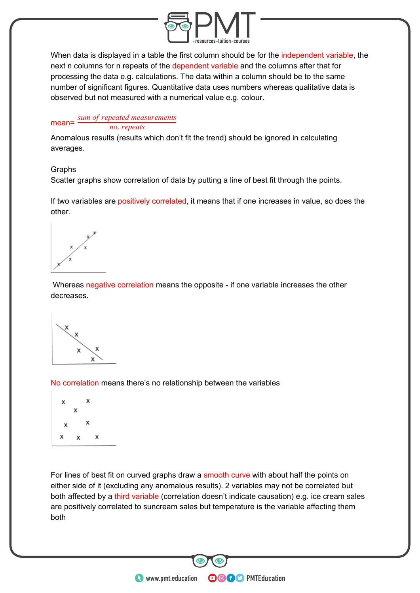

When data is displayed in a table the first column should be for the independent variable, the next n columns for n repeats of the dependent variable and the columns after that for processing the data e.g. calculations. The data within a column should be to the same number of significant figures. Quantitative data uses numbers whereas qualitative data is observed but not measured with a numerical value e.g. colour.

#### mean= *no*. *repeats sum of repeated measurements*

Anomalous results (results which don't fit the trend) should be ignored in calculating averages.

#### Graphs

Scatter graphs show correlation of data by putting a line of best fit through the points.

If two variables are positively correlated, it means that if one increases in value, so does the other.

 Whereas negative correlation means the opposite - if one variable increases the other decreases.

No correlation means there's no relationship between the variables



For lines of best fit on curved graphs draw a smooth curve with about half the points on either side of it (excluding any anomalous results). 2 variables may not be correlated but both affected by a third variable (correlation doesn't indicate causation) e.g. ice cream sales are positively correlated to suncream sales but temperature is the variable affecting them both

**OOOO** PMTEducation

**WWW.pmt.education**